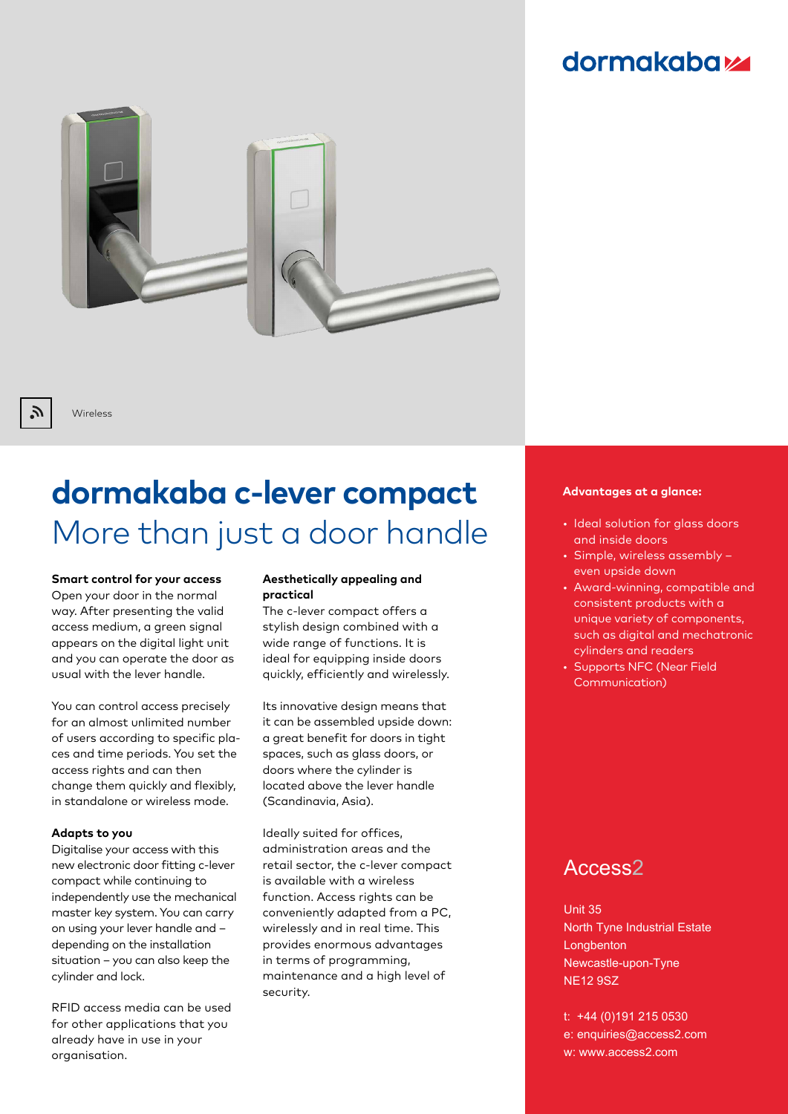## **dormakabazz**



Wireless

Г.

# **dormakaba c-lever compact** More than just a door handle

**Smart control for your access** Open your door in the normal way. After presenting the valid access medium, a green signal appears on the digital light unit and you can operate the door as usual with the lever handle.

You can control access precisely for an almost unlimited number of users according to specific places and time periods. You set the access rights and can then change them quickly and flexibly, in standalone or wireless mode.

#### **Adapts to you**

Digitalise your access with this new electronic door fitting c-lever compact while continuing to independently use the mechanical master key system. You can carry on using your lever handle and – depending on the installation situation – you can also keep the cylinder and lock.

RFID access media can be used for other applications that you already have in use in your organisation.

#### **Aesthetically appealing and practical**

The c-lever compact offers a stylish design combined with a wide range of functions. It is ideal for equipping inside doors quickly, efficiently and wirelessly.

Its innovative design means that it can be assembled upside down: a great benefit for doors in tight spaces, such as glass doors, or doors where the cylinder is located above the lever handle (Scandinavia, Asia).

Ideally suited for offices, administration areas and the retail sector, the c-lever compact is available with a wireless function. Access rights can be conveniently adapted from a PC, wirelessly and in real time. This provides enormous advantages in terms of programming, maintenance and a high level of security.

#### **Advantages at a glance:**

- Ideal solution for glass doors and inside doors
- Simple, wireless assembly even upside down
- Award-winning, compatible and consistent products with a unique variety of components, such as digital and mechatronic cylinders and readers
- Supports NFC (Near Field Communication)

### Access2

Unit 35 North Tyne Industrial Estate Longbenton Newcastle-upon-Tyne NE12 9SZ

t: +44 (0)191 215 0530 e: enquiries@access2.com w: www.access2.com